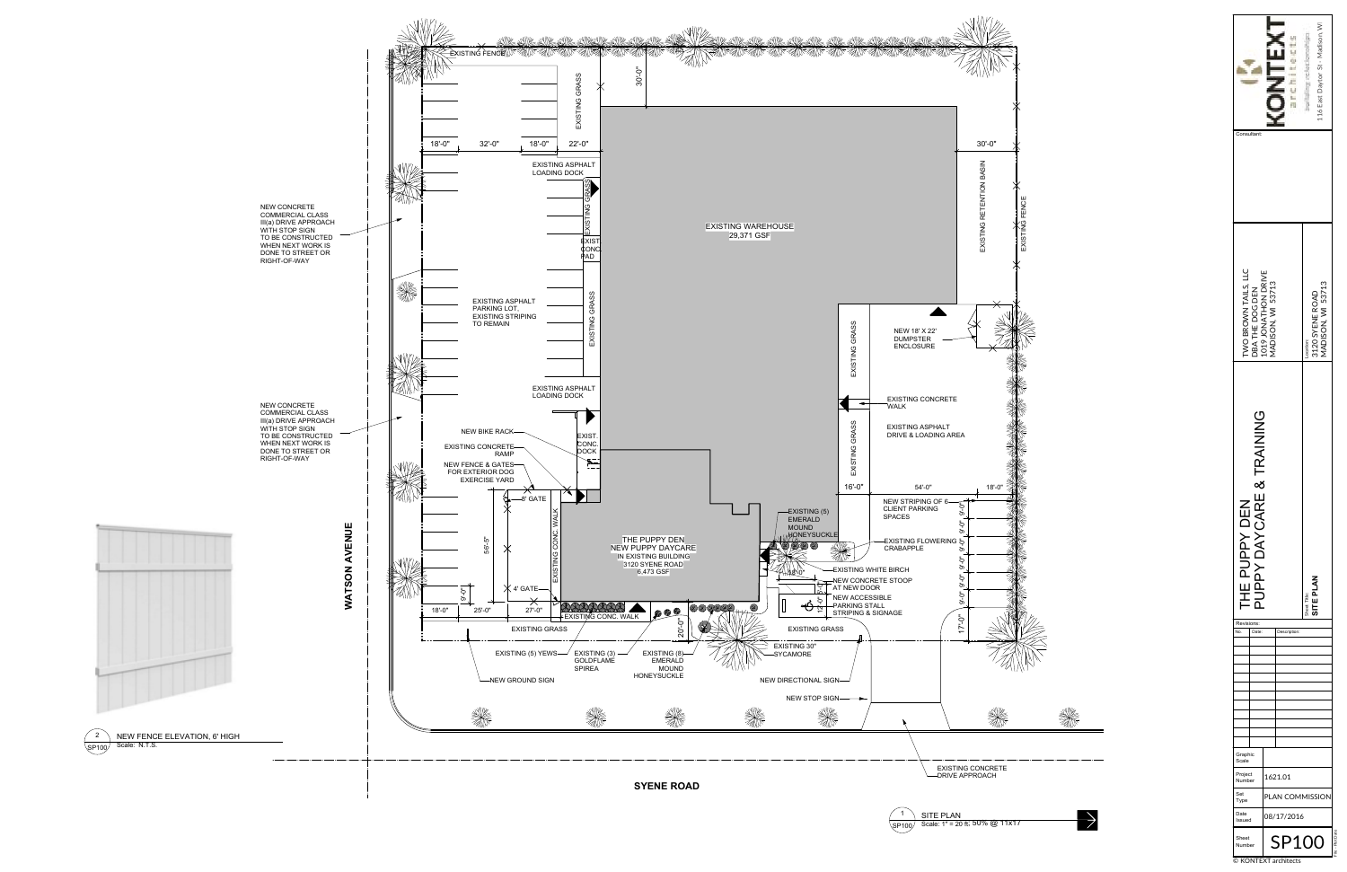File - Plot Date



© KONTEXT architects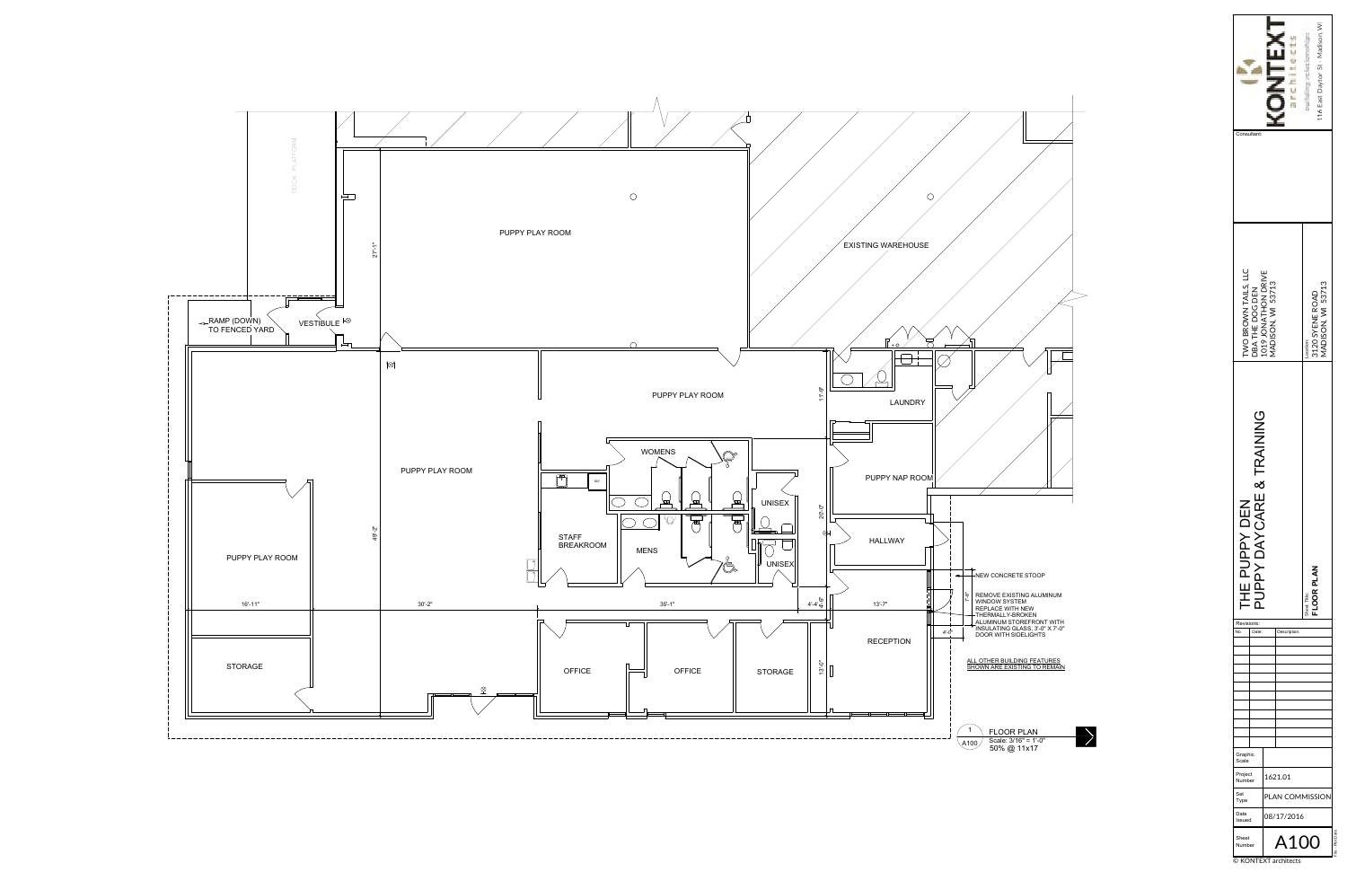| ultant:                                                                             | <b>DNTEX</b> |                                                   | 116 East Dayton St - Madison, WI |
|-------------------------------------------------------------------------------------|--------------|---------------------------------------------------|----------------------------------|
| TWO BROWN TAILS, LLC<br>DBA THE DOG DEN<br>1019 JONATHON DRIVE<br>MADISON, WI 53713 |              | MADISON, WI 53713<br>3120 SYENE ROAD<br>Location: |                                  |
| <b>LE &amp; TRAINING</b><br>DAYCAR<br>$\overline{D}$<br>UPPY<br>ć<br>ī<br>L<br>뿌    |              | <b>JOR PLA</b><br>Sheet Title:                    |                                  |
| Revisions:<br>No.<br>Date:<br>Description:                                          |              |                                                   |                                  |
|                                                                                     |              |                                                   |                                  |
|                                                                                     |              |                                                   |                                  |
|                                                                                     |              |                                                   |                                  |
| Graphic<br>Scale<br>Project                                                         | 1621.01      |                                                   |                                  |
| Number<br>Set                                                                       |              | PLAN COMMISSION                                   |                                  |
|                                                                                     |              |                                                   |                                  |
| Type<br>Date<br>Issued                                                              |              | 08/17/2016                                        |                                  |

© KONTEXT architects

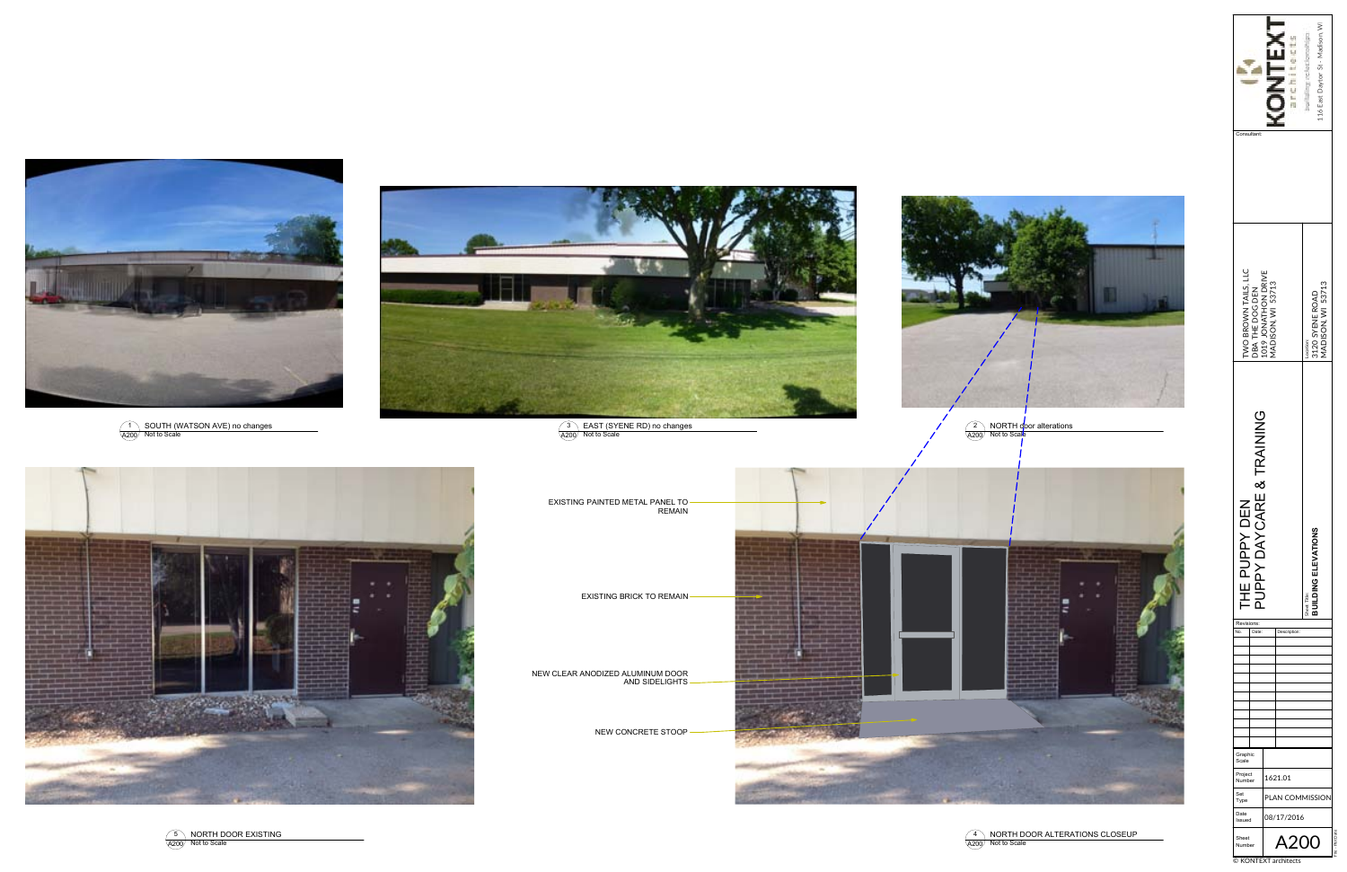



© KONTEXT architects













4 \& NORTH DOOR ALTERATIONS CLOSEUP<br><sub>200</sub> Not to Scale

A200



NEW CONCRETE STOOP



NEW CLEAR ANODIZED ALUMINUM DOOR AND SIDELIGHTS

EXISTING BRICK TO REMAIN

EXISTING PAINTED METAL PANEL TO REMAIN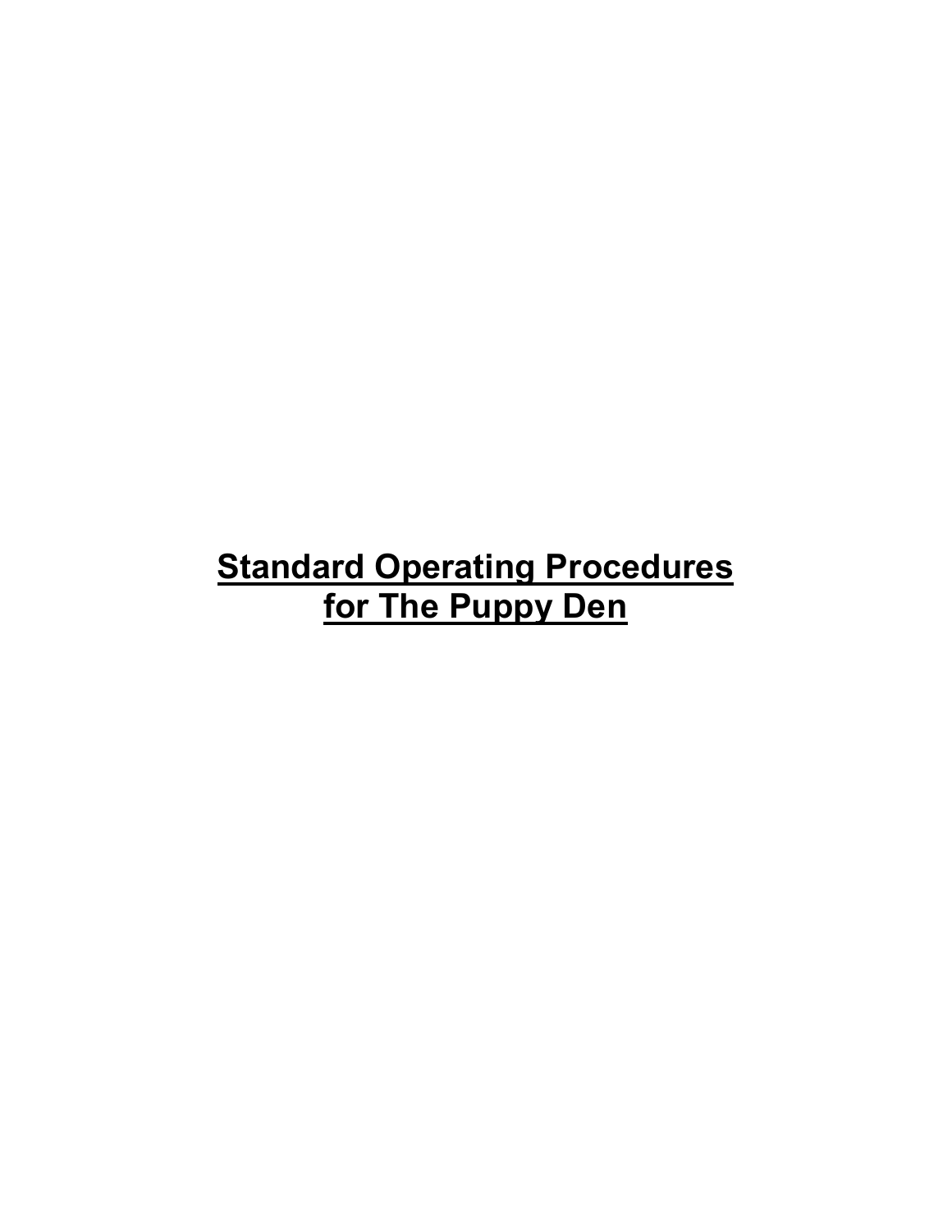# **Standard Operating Procedures for The Puppy Den**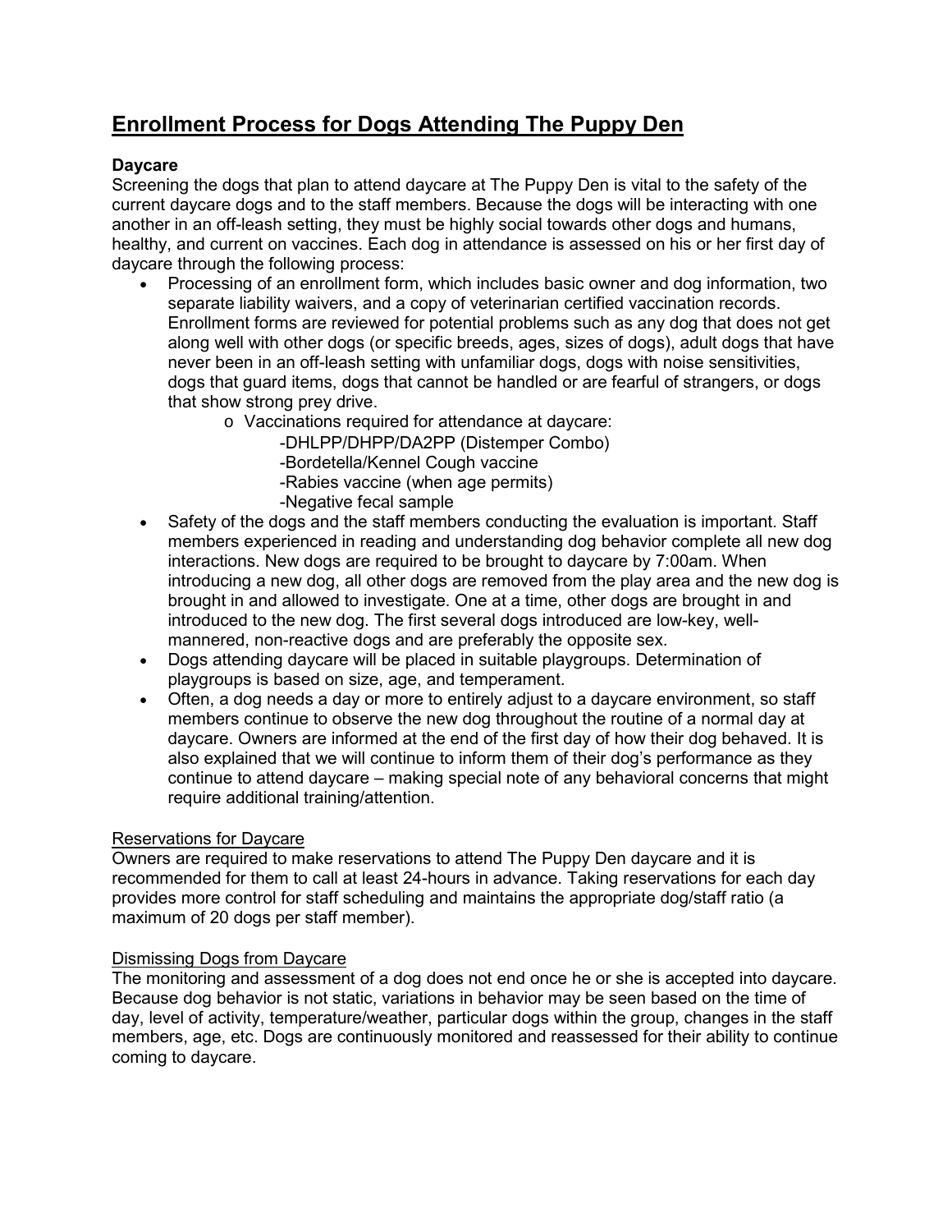# **Enrollment Process for Dogs Attending The Puppy Den**

# **Daycare**

Screening the dogs that plan to attend daycare at The Puppy Den is vital to the safety of the current daycare dogs and to the staff members. Because the dogs will be interacting with one another in an off-leash setting, they must be highly social towards other dogs and humans, healthy, and current on vaccines. Each dog in attendance is assessed on his or her first day of daycare through the following process:

- Processing of an enrollment form, which includes basic owner and dog information, two separate liability waivers, and a copy of veterinarian certified vaccination records. Enrollment forms are reviewed for potential problems such as any dog that does not get along well with other dogs (or specific breeds, ages, sizes of dogs), adult dogs that have never been in an off-leash setting with unfamiliar dogs, dogs with noise sensitivities, dogs that guard items, dogs that cannot be handled or are fearful of strangers, or dogs that show strong prey drive.
	- o Vaccinations required for attendance at daycare:

-DHLPP/DHPP/DA2PP (Distemper Combo) -Bordetella/Kennel Cough vaccine -Rabies vaccine (when age permits) -Negative fecal sample

- Safety of the dogs and the staff members conducting the evaluation is important. Staff members experienced in reading and understanding dog behavior complete all new dog interactions. New dogs are required to be brought to daycare by 7:00am. When introducing a new dog, all other dogs are removed from the play area and the new dog is brought in and allowed to investigate. One at a time, other dogs are brought in and introduced to the new dog. The first several dogs introduced are low-key, wellmannered, non-reactive dogs and are preferably the opposite sex.
- Dogs attending daycare will be placed in suitable playgroups. Determination of playgroups is based on size, age, and temperament.
- Often, a dog needs a day or more to entirely adjust to a daycare environment, so staff members continue to observe the new dog throughout the routine of a normal day at daycare. Owners are informed at the end of the first day of how their dog behaved. It is also explained that we will continue to inform them of their dog's performance as they continue to attend daycare – making special note of any behavioral concerns that might require additional training/attention.

# Reservations for Daycare

Owners are required to make reservations to attend The Puppy Den daycare and it is recommended for them to call at least 24-hours in advance. Taking reservations for each day provides more control for staff scheduling and maintains the appropriate dog/staff ratio (a maximum of 20 dogs per staff member).

# Dismissing Dogs from Daycare

The monitoring and assessment of a dog does not end once he or she is accepted into daycare. Because dog behavior is not static, variations in behavior may be seen based on the time of day, level of activity, temperature/weather, particular dogs within the group, changes in the staff members, age, etc. Dogs are continuously monitored and reassessed for their ability to continue coming to daycare.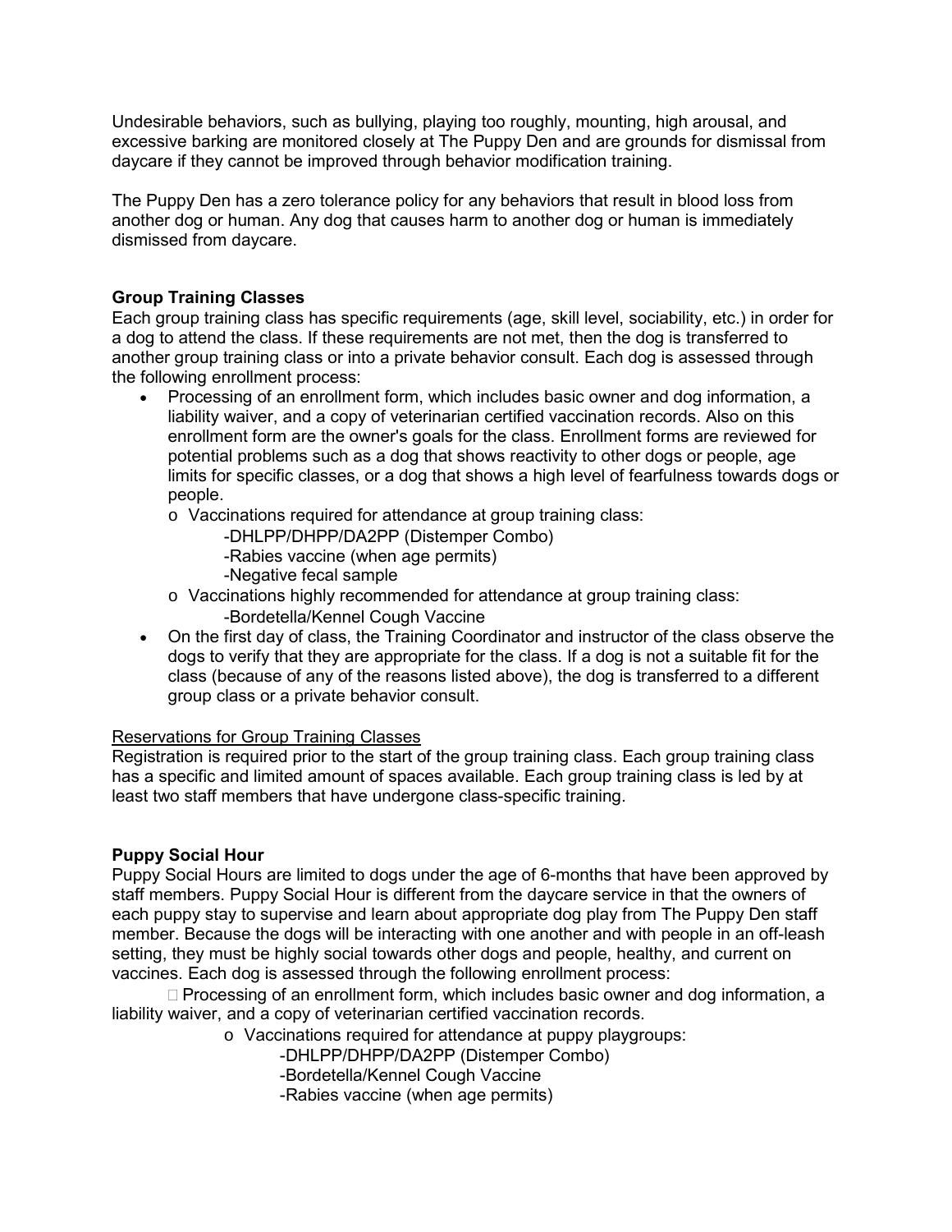Undesirable behaviors, such as bullying, playing too roughly, mounting, high arousal, and excessive barking are monitored closely at The Puppy Den and are grounds for dismissal from daycare if they cannot be improved through behavior modification training.

The Puppy Den has a zero tolerance policy for any behaviors that result in blood loss from another dog or human. Any dog that causes harm to another dog or human is immediately dismissed from daycare.

# **Group Training Classes**

Each group training class has specific requirements (age, skill level, sociability, etc.) in order for a dog to attend the class. If these requirements are not met, then the dog is transferred to another group training class or into a private behavior consult. Each dog is assessed through the following enrollment process:

- Processing of an enrollment form, which includes basic owner and dog information, a liability waiver, and a copy of veterinarian certified vaccination records. Also on this enrollment form are the owner's goals for the class. Enrollment forms are reviewed for potential problems such as a dog that shows reactivity to other dogs or people, age limits for specific classes, or a dog that shows a high level of fearfulness towards dogs or people.
	- o Vaccinations required for attendance at group training class:
		- -DHLPP/DHPP/DA2PP (Distemper Combo)
		- -Rabies vaccine (when age permits)
		- -Negative fecal sample
	- $\circ$  Vaccinations highly recommended for attendance at group training class:
		- -Bordetella/Kennel Cough Vaccine
- On the first day of class, the Training Coordinator and instructor of the class observe the dogs to verify that they are appropriate for the class. If a dog is not a suitable fit for the class (because of any of the reasons listed above), the dog is transferred to a different group class or a private behavior consult.

#### Reservations for Group Training Classes

Registration is required prior to the start of the group training class. Each group training class has a specific and limited amount of spaces available. Each group training class is led by at least two staff members that have undergone class-specific training.

# **Puppy Social Hour**

Puppy Social Hours are limited to dogs under the age of 6-months that have been approved by staff members. Puppy Social Hour is different from the daycare service in that the owners of each puppy stay to supervise and learn about appropriate dog play from The Puppy Den staff member. Because the dogs will be interacting with one another and with people in an off-leash setting, they must be highly social towards other dogs and people, healthy, and current on vaccines. Each dog is assessed through the following enrollment process:

 $\Box$  Processing of an enrollment form, which includes basic owner and dog information, a liability waiver, and a copy of veterinarian certified vaccination records.

o Vaccinations required for attendance at puppy playgroups:

-DHLPP/DHPP/DA2PP (Distemper Combo)

-Bordetella/Kennel Cough Vaccine

-Rabies vaccine (when age permits)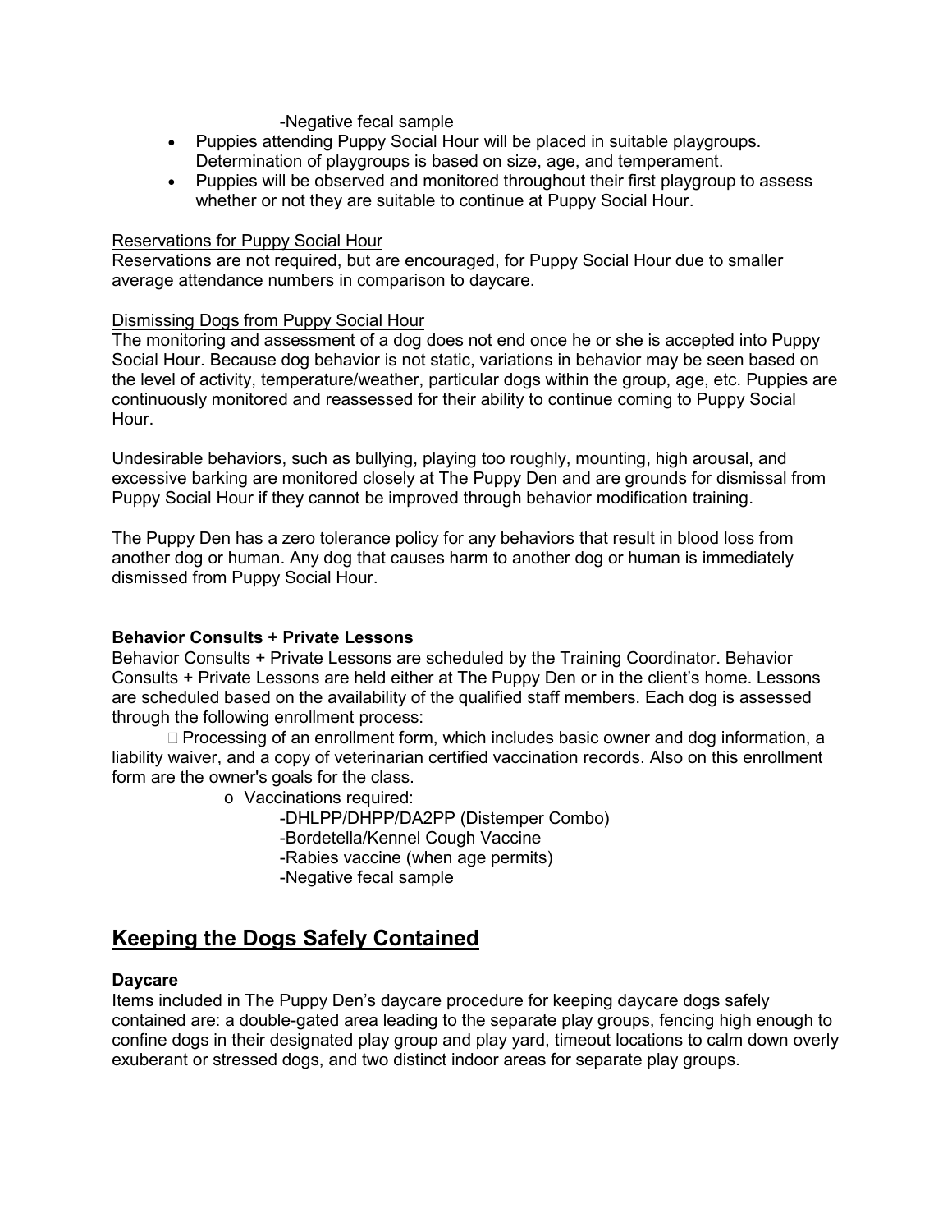#### -Negative fecal sample

- Puppies attending Puppy Social Hour will be placed in suitable playgroups. Determination of playgroups is based on size, age, and temperament.
- Puppies will be observed and monitored throughout their first playgroup to assess whether or not they are suitable to continue at Puppy Social Hour.

#### Reservations for Puppy Social Hour

Reservations are not required, but are encouraged, for Puppy Social Hour due to smaller average attendance numbers in comparison to daycare.

#### Dismissing Dogs from Puppy Social Hour

The monitoring and assessment of a dog does not end once he or she is accepted into Puppy Social Hour. Because dog behavior is not static, variations in behavior may be seen based on the level of activity, temperature/weather, particular dogs within the group, age, etc. Puppies are continuously monitored and reassessed for their ability to continue coming to Puppy Social Hour.

Undesirable behaviors, such as bullying, playing too roughly, mounting, high arousal, and excessive barking are monitored closely at The Puppy Den and are grounds for dismissal from Puppy Social Hour if they cannot be improved through behavior modification training.

The Puppy Den has a zero tolerance policy for any behaviors that result in blood loss from another dog or human. Any dog that causes harm to another dog or human is immediately dismissed from Puppy Social Hour.

#### **Behavior Consults + Private Lessons**

Behavior Consults + Private Lessons are scheduled by the Training Coordinator. Behavior Consults + Private Lessons are held either at The Puppy Den or in the client's home. Lessons are scheduled based on the availability of the qualified staff members. Each dog is assessed through the following enrollment process:

 $\Box$  Processing of an enrollment form, which includes basic owner and dog information, a liability waiver, and a copy of veterinarian certified vaccination records. Also on this enrollment form are the owner's goals for the class.

o Vaccinations required:

-DHLPP/DHPP/DA2PP (Distemper Combo) -Bordetella/Kennel Cough Vaccine -Rabies vaccine (when age permits) -Negative fecal sample

# **Keeping the Dogs Safely Contained**

#### **Daycare**

Items included in The Puppy Den's daycare procedure for keeping daycare dogs safely contained are: a double-gated area leading to the separate play groups, fencing high enough to confine dogs in their designated play group and play yard, timeout locations to calm down overly exuberant or stressed dogs, and two distinct indoor areas for separate play groups.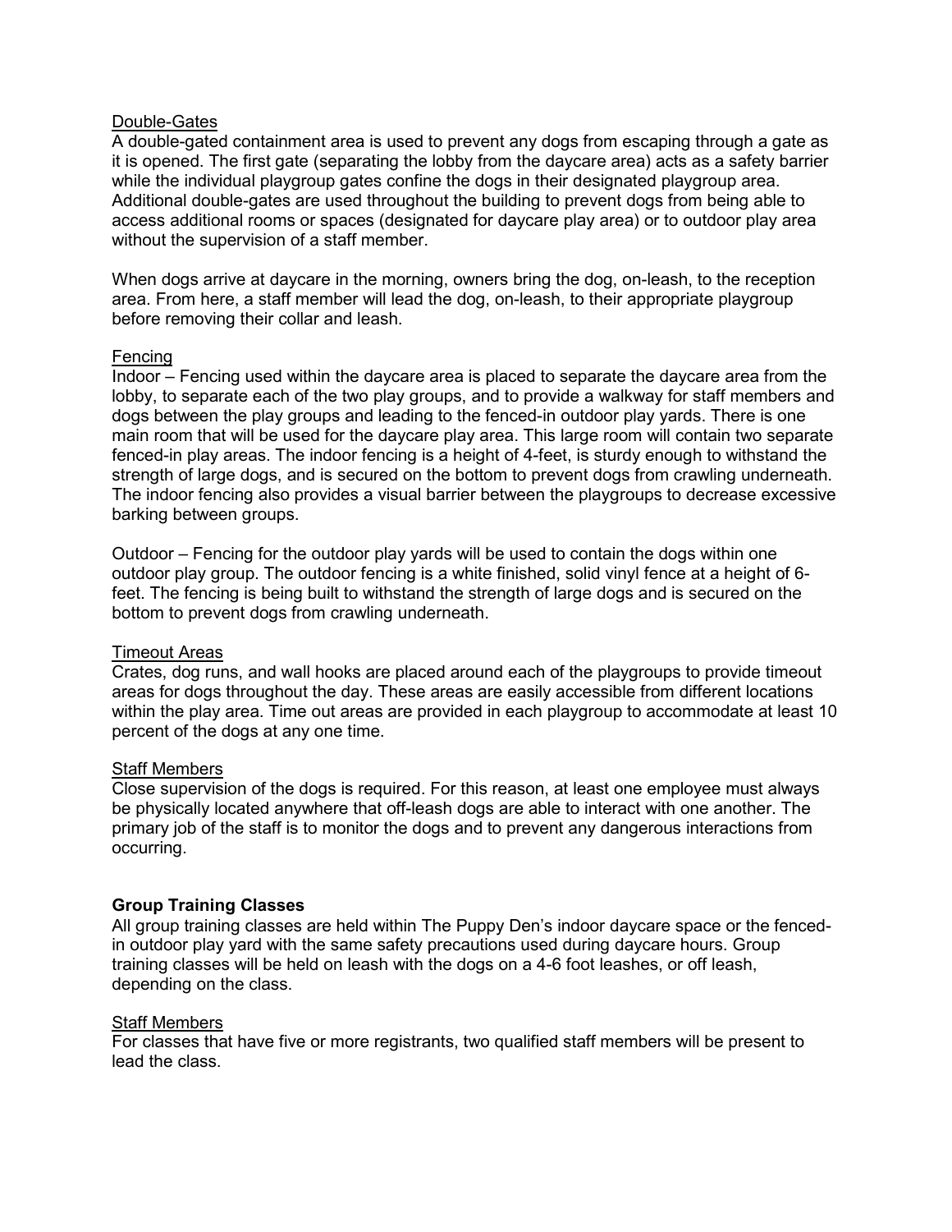#### Double-Gates

A double-gated containment area is used to prevent any dogs from escaping through a gate as it is opened. The first gate (separating the lobby from the daycare area) acts as a safety barrier while the individual playgroup gates confine the dogs in their designated playgroup area. Additional double-gates are used throughout the building to prevent dogs from being able to access additional rooms or spaces (designated for daycare play area) or to outdoor play area without the supervision of a staff member.

When dogs arrive at daycare in the morning, owners bring the dog, on-leash, to the reception area. From here, a staff member will lead the dog, on-leash, to their appropriate playgroup before removing their collar and leash.

#### Fencing

Indoor – Fencing used within the daycare area is placed to separate the daycare area from the lobby, to separate each of the two play groups, and to provide a walkway for staff members and dogs between the play groups and leading to the fenced-in outdoor play yards. There is one main room that will be used for the daycare play area. This large room will contain two separate fenced-in play areas. The indoor fencing is a height of 4-feet, is sturdy enough to withstand the strength of large dogs, and is secured on the bottom to prevent dogs from crawling underneath. The indoor fencing also provides a visual barrier between the playgroups to decrease excessive barking between groups.

Outdoor – Fencing for the outdoor play yards will be used to contain the dogs within one outdoor play group. The outdoor fencing is a white finished, solid vinyl fence at a height of 6 feet. The fencing is being built to withstand the strength of large dogs and is secured on the bottom to prevent dogs from crawling underneath.

#### Timeout Areas

Crates, dog runs, and wall hooks are placed around each of the playgroups to provide timeout areas for dogs throughout the day. These areas are easily accessible from different locations within the play area. Time out areas are provided in each playgroup to accommodate at least 10 percent of the dogs at any one time.

### Staff Members

Close supervision of the dogs is required. For this reason, at least one employee must always be physically located anywhere that off-leash dogs are able to interact with one another. The primary job of the staff is to monitor the dogs and to prevent any dangerous interactions from occurring.

# **Group Training Classes**

All group training classes are held within The Puppy Den's indoor daycare space or the fencedin outdoor play yard with the same safety precautions used during daycare hours. Group training classes will be held on leash with the dogs on a 4-6 foot leashes, or off leash, depending on the class.

#### Staff Members

For classes that have five or more registrants, two qualified staff members will be present to lead the class.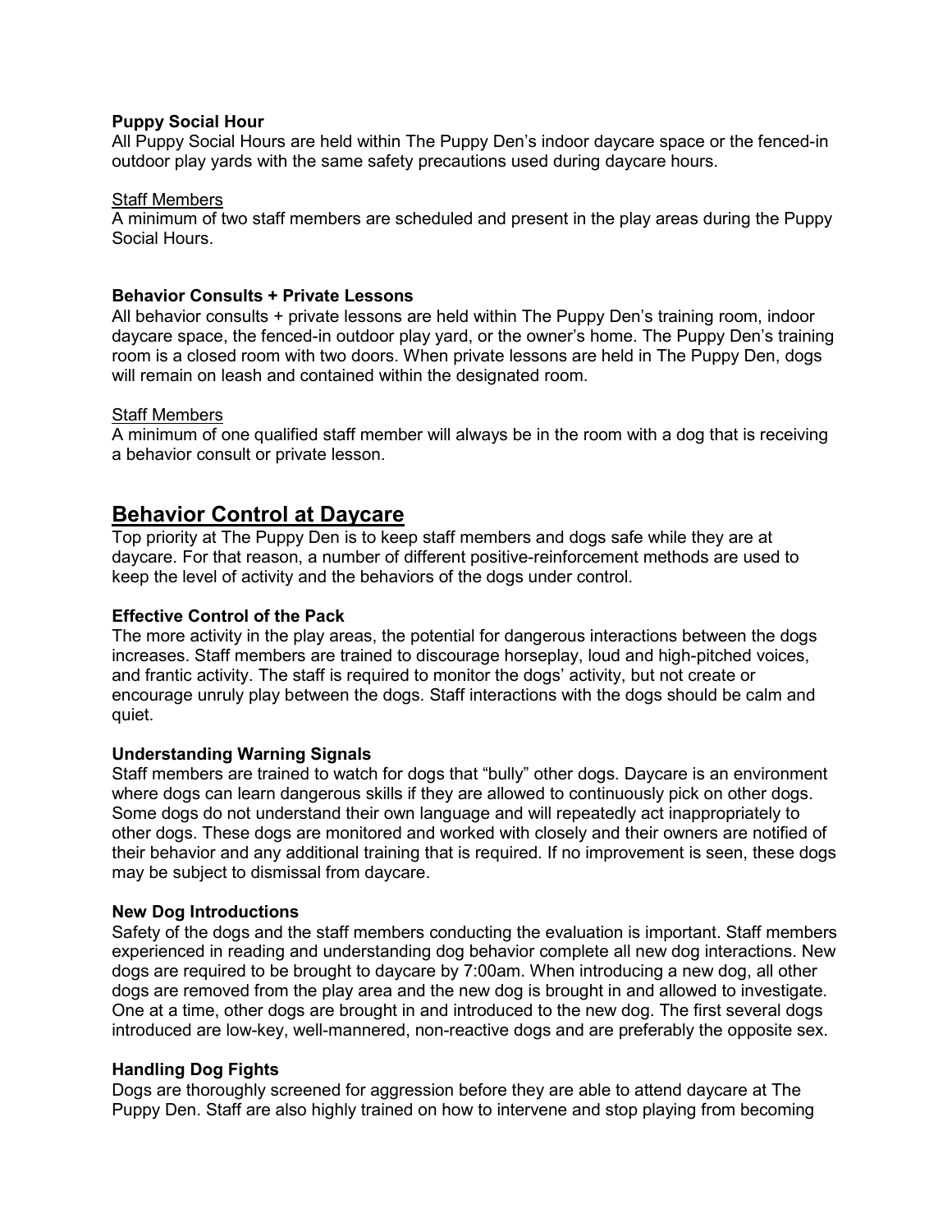### **Puppy Social Hour**

All Puppy Social Hours are held within The Puppy Den's indoor daycare space or the fenced-in outdoor play yards with the same safety precautions used during daycare hours.

#### Staff Members

A minimum of two staff members are scheduled and present in the play areas during the Puppy Social Hours.

### **Behavior Consults + Private Lessons**

All behavior consults + private lessons are held within The Puppy Den's training room, indoor daycare space, the fenced-in outdoor play yard, or the owner's home. The Puppy Den's training room is a closed room with two doors. When private lessons are held in The Puppy Den, dogs will remain on leash and contained within the designated room.

#### Staff Members

A minimum of one qualified staff member will always be in the room with a dog that is receiving a behavior consult or private lesson.

# **Behavior Control at Daycare**

Top priority at The Puppy Den is to keep staff members and dogs safe while they are at daycare. For that reason, a number of different positive-reinforcement methods are used to keep the level of activity and the behaviors of the dogs under control.

### **Effective Control of the Pack**

The more activity in the play areas, the potential for dangerous interactions between the dogs increases. Staff members are trained to discourage horseplay, loud and high-pitched voices, and frantic activity. The staff is required to monitor the dogs' activity, but not create or encourage unruly play between the dogs. Staff interactions with the dogs should be calm and quiet.

# **Understanding Warning Signals**

Staff members are trained to watch for dogs that "bully" other dogs. Daycare is an environment where dogs can learn dangerous skills if they are allowed to continuously pick on other dogs. Some dogs do not understand their own language and will repeatedly act inappropriately to other dogs. These dogs are monitored and worked with closely and their owners are notified of their behavior and any additional training that is required. If no improvement is seen, these dogs may be subject to dismissal from daycare.

#### **New Dog Introductions**

Safety of the dogs and the staff members conducting the evaluation is important. Staff members experienced in reading and understanding dog behavior complete all new dog interactions. New dogs are required to be brought to daycare by 7:00am. When introducing a new dog, all other dogs are removed from the play area and the new dog is brought in and allowed to investigate. One at a time, other dogs are brought in and introduced to the new dog. The first several dogs introduced are low-key, well-mannered, non-reactive dogs and are preferably the opposite sex.

# **Handling Dog Fights**

Dogs are thoroughly screened for aggression before they are able to attend daycare at The Puppy Den. Staff are also highly trained on how to intervene and stop playing from becoming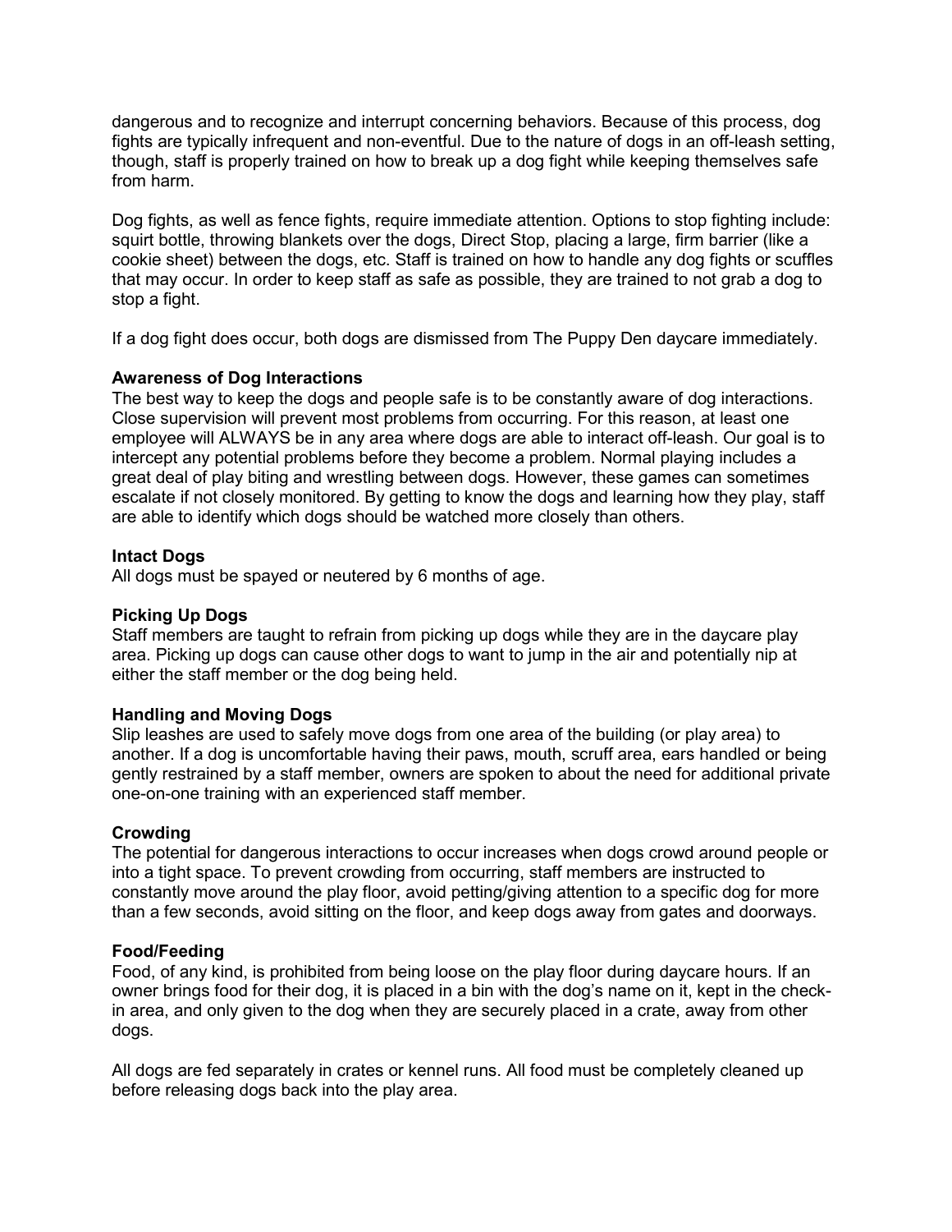dangerous and to recognize and interrupt concerning behaviors. Because of this process, dog fights are typically infrequent and non-eventful. Due to the nature of dogs in an off-leash setting, though, staff is properly trained on how to break up a dog fight while keeping themselves safe from harm.

Dog fights, as well as fence fights, require immediate attention. Options to stop fighting include: squirt bottle, throwing blankets over the dogs, Direct Stop, placing a large, firm barrier (like a cookie sheet) between the dogs, etc. Staff is trained on how to handle any dog fights or scuffles that may occur. In order to keep staff as safe as possible, they are trained to not grab a dog to stop a fight.

If a dog fight does occur, both dogs are dismissed from The Puppy Den daycare immediately.

# **Awareness of Dog Interactions**

The best way to keep the dogs and people safe is to be constantly aware of dog interactions. Close supervision will prevent most problems from occurring. For this reason, at least one employee will ALWAYS be in any area where dogs are able to interact off-leash. Our goal is to intercept any potential problems before they become a problem. Normal playing includes a great deal of play biting and wrestling between dogs. However, these games can sometimes escalate if not closely monitored. By getting to know the dogs and learning how they play, staff are able to identify which dogs should be watched more closely than others.

#### **Intact Dogs**

All dogs must be spayed or neutered by 6 months of age.

#### **Picking Up Dogs**

Staff members are taught to refrain from picking up dogs while they are in the daycare play area. Picking up dogs can cause other dogs to want to jump in the air and potentially nip at either the staff member or the dog being held.

#### **Handling and Moving Dogs**

Slip leashes are used to safely move dogs from one area of the building (or play area) to another. If a dog is uncomfortable having their paws, mouth, scruff area, ears handled or being gently restrained by a staff member, owners are spoken to about the need for additional private one-on-one training with an experienced staff member.

#### **Crowding**

The potential for dangerous interactions to occur increases when dogs crowd around people or into a tight space. To prevent crowding from occurring, staff members are instructed to constantly move around the play floor, avoid petting/giving attention to a specific dog for more than a few seconds, avoid sitting on the floor, and keep dogs away from gates and doorways.

#### **Food/Feeding**

Food, of any kind, is prohibited from being loose on the play floor during daycare hours. If an owner brings food for their dog, it is placed in a bin with the dog's name on it, kept in the checkin area, and only given to the dog when they are securely placed in a crate, away from other dogs.

All dogs are fed separately in crates or kennel runs. All food must be completely cleaned up before releasing dogs back into the play area.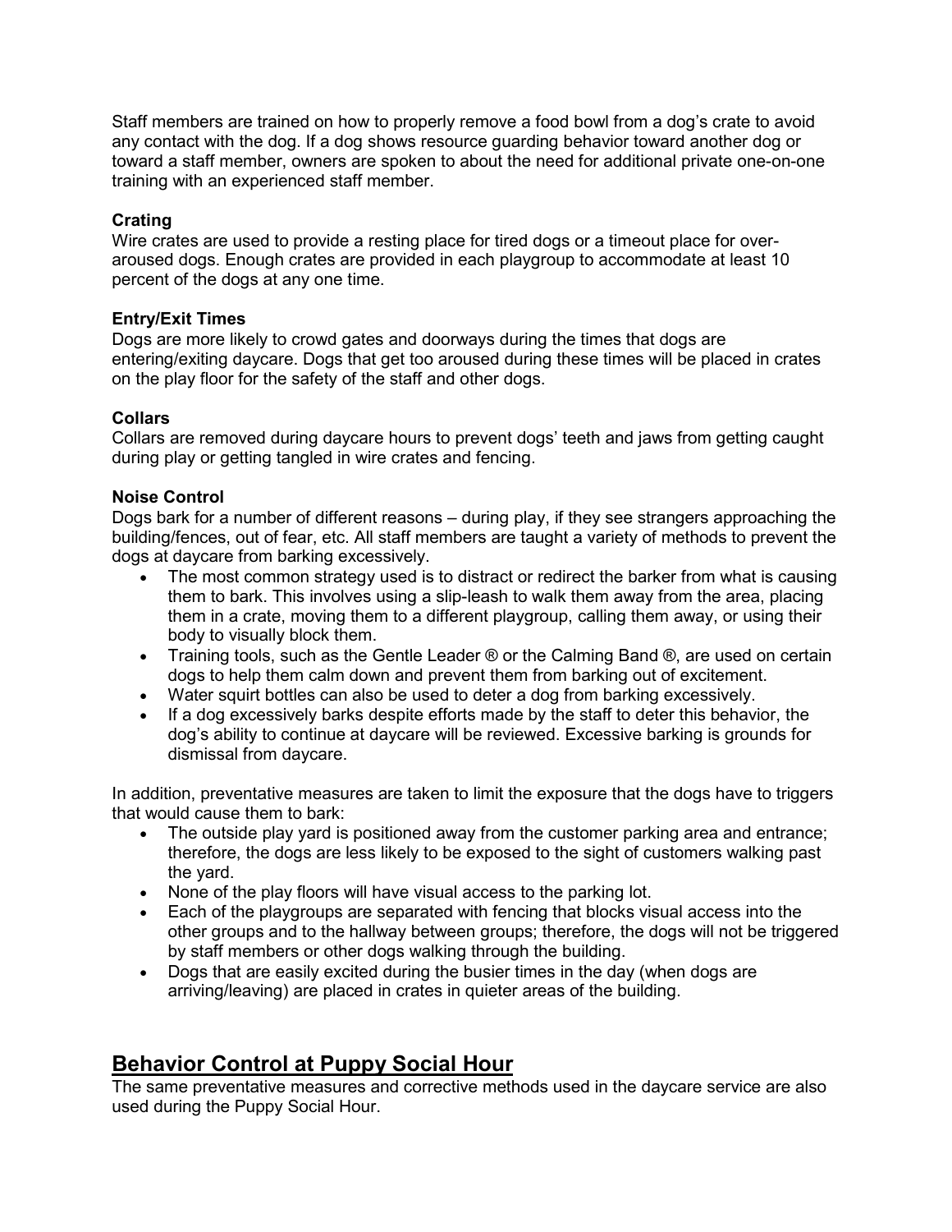Staff members are trained on how to properly remove a food bowl from a dog's crate to avoid any contact with the dog. If a dog shows resource guarding behavior toward another dog or toward a staff member, owners are spoken to about the need for additional private one-on-one training with an experienced staff member.

# **Crating**

Wire crates are used to provide a resting place for tired dogs or a timeout place for overaroused dogs. Enough crates are provided in each playgroup to accommodate at least 10 percent of the dogs at any one time.

#### **Entry/Exit Times**

Dogs are more likely to crowd gates and doorways during the times that dogs are entering/exiting daycare. Dogs that get too aroused during these times will be placed in crates on the play floor for the safety of the staff and other dogs.

#### **Collars**

Collars are removed during daycare hours to prevent dogs' teeth and jaws from getting caught during play or getting tangled in wire crates and fencing.

#### **Noise Control**

Dogs bark for a number of different reasons – during play, if they see strangers approaching the building/fences, out of fear, etc. All staff members are taught a variety of methods to prevent the dogs at daycare from barking excessively.

- The most common strategy used is to distract or redirect the barker from what is causing them to bark. This involves using a slip-leash to walk them away from the area, placing them in a crate, moving them to a different playgroup, calling them away, or using their body to visually block them.
- Training tools, such as the Gentle Leader  $\mathcal D$  or the Calming Band  $\mathcal D$ , are used on certain dogs to help them calm down and prevent them from barking out of excitement.
- Water squirt bottles can also be used to deter a dog from barking excessively.
- If a dog excessively barks despite efforts made by the staff to deter this behavior, the dog's ability to continue at daycare will be reviewed. Excessive barking is grounds for dismissal from daycare.

In addition, preventative measures are taken to limit the exposure that the dogs have to triggers that would cause them to bark:

- The outside play yard is positioned away from the customer parking area and entrance; therefore, the dogs are less likely to be exposed to the sight of customers walking past the yard.
- None of the play floors will have visual access to the parking lot.
- Each of the playgroups are separated with fencing that blocks visual access into the other groups and to the hallway between groups; therefore, the dogs will not be triggered by staff members or other dogs walking through the building.
- Dogs that are easily excited during the busier times in the day (when dogs are arriving/leaving) are placed in crates in quieter areas of the building.

# **Behavior Control at Puppy Social Hour**

The same preventative measures and corrective methods used in the daycare service are also used during the Puppy Social Hour.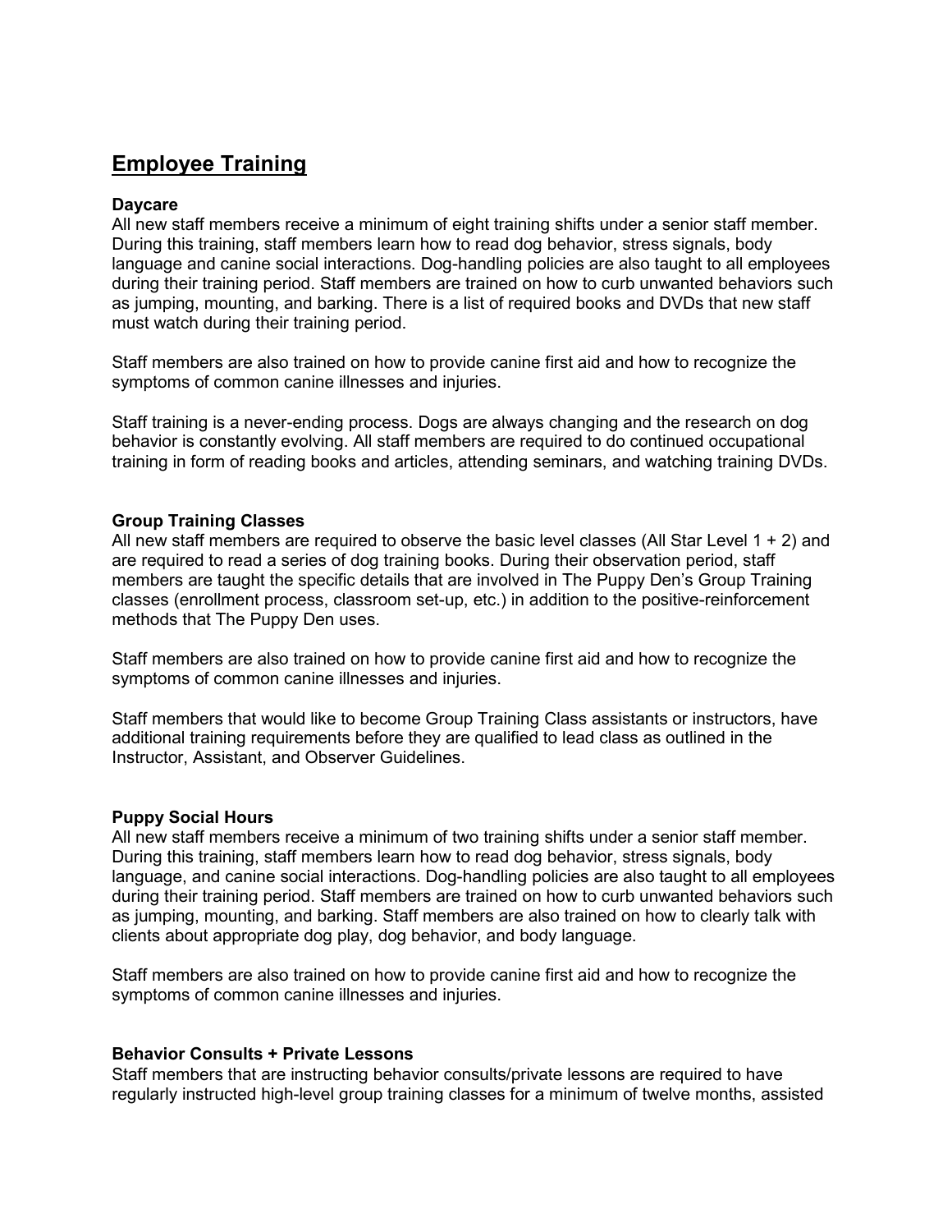# **Employee Training**

### **Daycare**

All new staff members receive a minimum of eight training shifts under a senior staff member. During this training, staff members learn how to read dog behavior, stress signals, body language and canine social interactions. Dog-handling policies are also taught to all employees during their training period. Staff members are trained on how to curb unwanted behaviors such as jumping, mounting, and barking. There is a list of required books and DVDs that new staff must watch during their training period.

Staff members are also trained on how to provide canine first aid and how to recognize the symptoms of common canine illnesses and injuries.

Staff training is a never-ending process. Dogs are always changing and the research on dog behavior is constantly evolving. All staff members are required to do continued occupational training in form of reading books and articles, attending seminars, and watching training DVDs.

#### **Group Training Classes**

All new staff members are required to observe the basic level classes (All Star Level 1 + 2) and are required to read a series of dog training books. During their observation period, staff members are taught the specific details that are involved in The Puppy Den's Group Training classes (enrollment process, classroom set-up, etc.) in addition to the positive-reinforcement methods that The Puppy Den uses.

Staff members are also trained on how to provide canine first aid and how to recognize the symptoms of common canine illnesses and injuries.

Staff members that would like to become Group Training Class assistants or instructors, have additional training requirements before they are qualified to lead class as outlined in the Instructor, Assistant, and Observer Guidelines.

#### **Puppy Social Hours**

All new staff members receive a minimum of two training shifts under a senior staff member. During this training, staff members learn how to read dog behavior, stress signals, body language, and canine social interactions. Dog-handling policies are also taught to all employees during their training period. Staff members are trained on how to curb unwanted behaviors such as jumping, mounting, and barking. Staff members are also trained on how to clearly talk with clients about appropriate dog play, dog behavior, and body language.

Staff members are also trained on how to provide canine first aid and how to recognize the symptoms of common canine illnesses and injuries.

#### **Behavior Consults + Private Lessons**

Staff members that are instructing behavior consults/private lessons are required to have regularly instructed high-level group training classes for a minimum of twelve months, assisted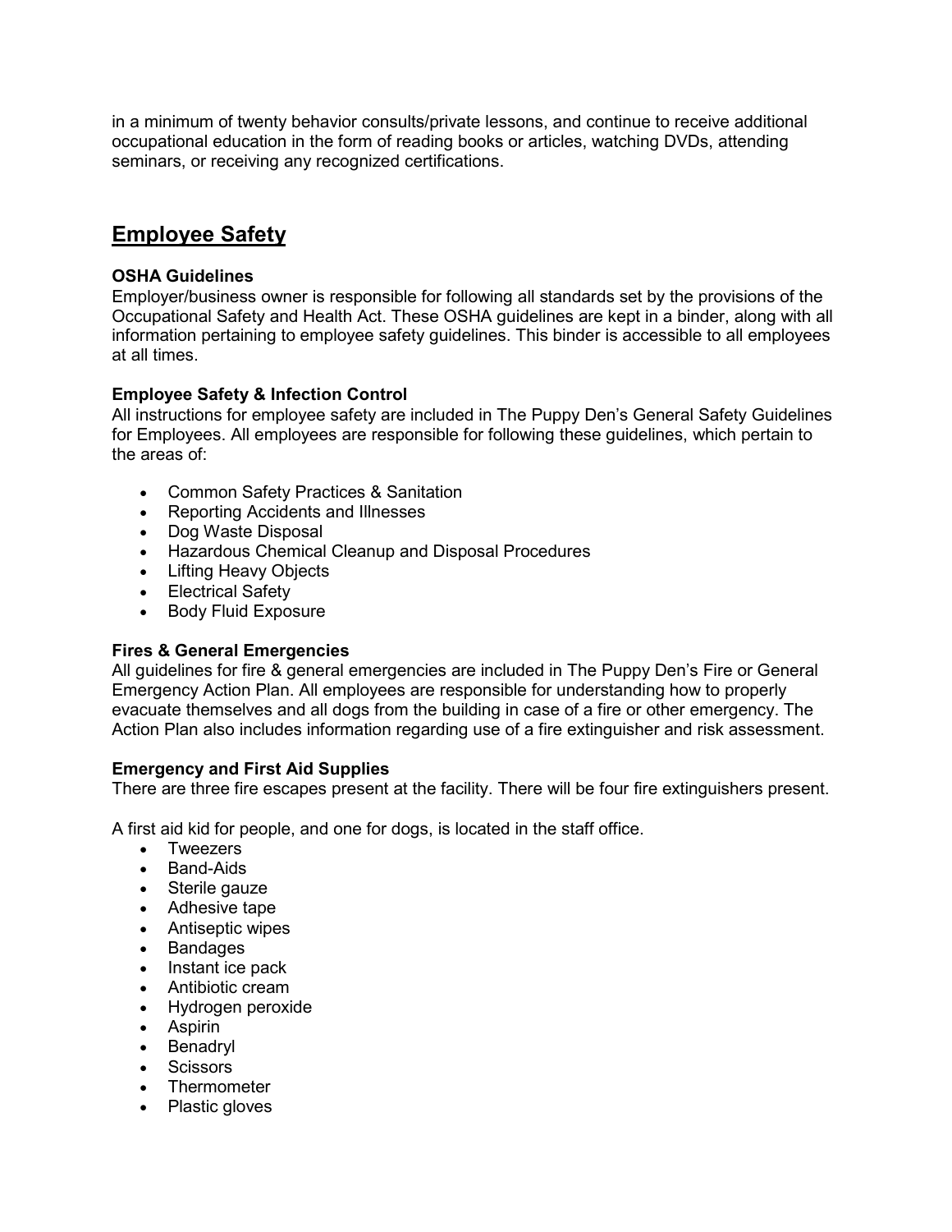in a minimum of twenty behavior consults/private lessons, and continue to receive additional occupational education in the form of reading books or articles, watching DVDs, attending seminars, or receiving any recognized certifications.

# **Employee Safety**

# **OSHA Guidelines**

Employer/business owner is responsible for following all standards set by the provisions of the Occupational Safety and Health Act. These OSHA guidelines are kept in a binder, along with all information pertaining to employee safety guidelines. This binder is accessible to all employees at all times.

# **Employee Safety & Infection Control**

All instructions for employee safety are included in The Puppy Den's General Safety Guidelines for Employees. All employees are responsible for following these guidelines, which pertain to the areas of:

- Common Safety Practices & Sanitation
- Reporting Accidents and Illnesses
- Dog Waste Disposal
- Hazardous Chemical Cleanup and Disposal Procedures
- Lifting Heavy Objects
- Electrical Safety
- Body Fluid Exposure

# **Fires & General Emergencies**

All guidelines for fire & general emergencies are included in The Puppy Den's Fire or General Emergency Action Plan. All employees are responsible for understanding how to properly evacuate themselves and all dogs from the building in case of a fire or other emergency. The Action Plan also includes information regarding use of a fire extinguisher and risk assessment.

# **Emergency and First Aid Supplies**

There are three fire escapes present at the facility. There will be four fire extinguishers present.

A first aid kid for people, and one for dogs, is located in the staff office.

- Tweezers
- Band-Aids
- Sterile gauze
- Adhesive tape
- Antiseptic wipes
- Bandages
- Instant ice pack
- Antibiotic cream
- Hydrogen peroxide
- Aspirin
- Benadryl
- Scissors
- **Thermometer**
- Plastic gloves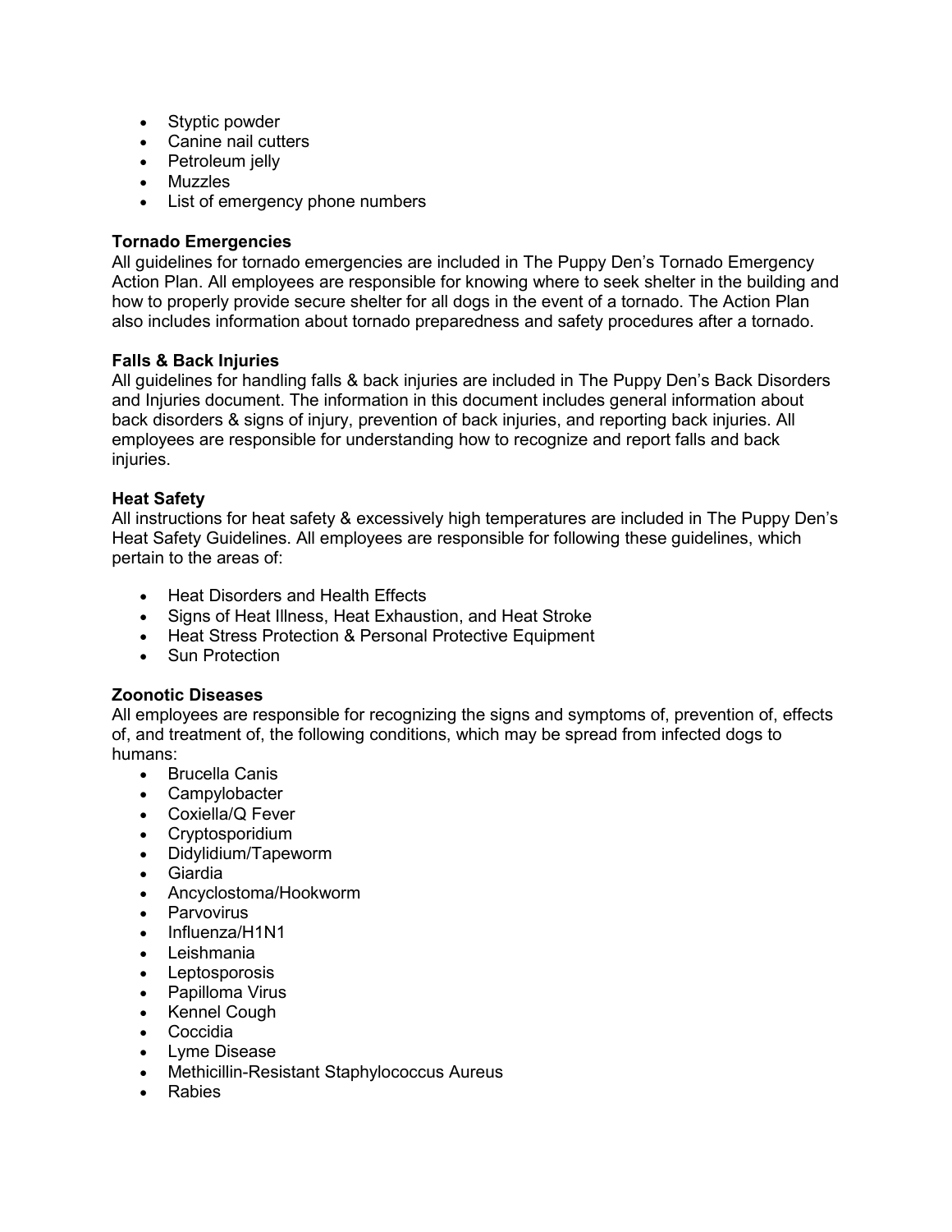- Styptic powder
- Canine nail cutters
- Petroleum jelly
- Muzzles
- List of emergency phone numbers

# **Tornado Emergencies**

All guidelines for tornado emergencies are included in The Puppy Den's Tornado Emergency Action Plan. All employees are responsible for knowing where to seek shelter in the building and how to properly provide secure shelter for all dogs in the event of a tornado. The Action Plan also includes information about tornado preparedness and safety procedures after a tornado.

# **Falls & Back Injuries**

All guidelines for handling falls & back injuries are included in The Puppy Den's Back Disorders and Injuries document. The information in this document includes general information about back disorders & signs of injury, prevention of back injuries, and reporting back injuries. All employees are responsible for understanding how to recognize and report falls and back injuries.

# **Heat Safety**

All instructions for heat safety & excessively high temperatures are included in The Puppy Den's Heat Safety Guidelines. All employees are responsible for following these guidelines, which pertain to the areas of:

- Heat Disorders and Health Effects
- Signs of Heat Illness, Heat Exhaustion, and Heat Stroke
- Heat Stress Protection & Personal Protective Equipment
- Sun Protection

# **Zoonotic Diseases**

All employees are responsible for recognizing the signs and symptoms of, prevention of, effects of, and treatment of, the following conditions, which may be spread from infected dogs to humans:

- Brucella Canis
- Campylobacter
- Coxiella/Q Fever
- Cryptosporidium
- Didylidium/Tapeworm
- Giardia
- Ancyclostoma/Hookworm
- Parvovirus
- Influenza/H1N1
- Leishmania
- Leptosporosis
- Papilloma Virus
- Kennel Cough
- Coccidia
- Lyme Disease
- Methicillin-Resistant Staphylococcus Aureus
- Rabies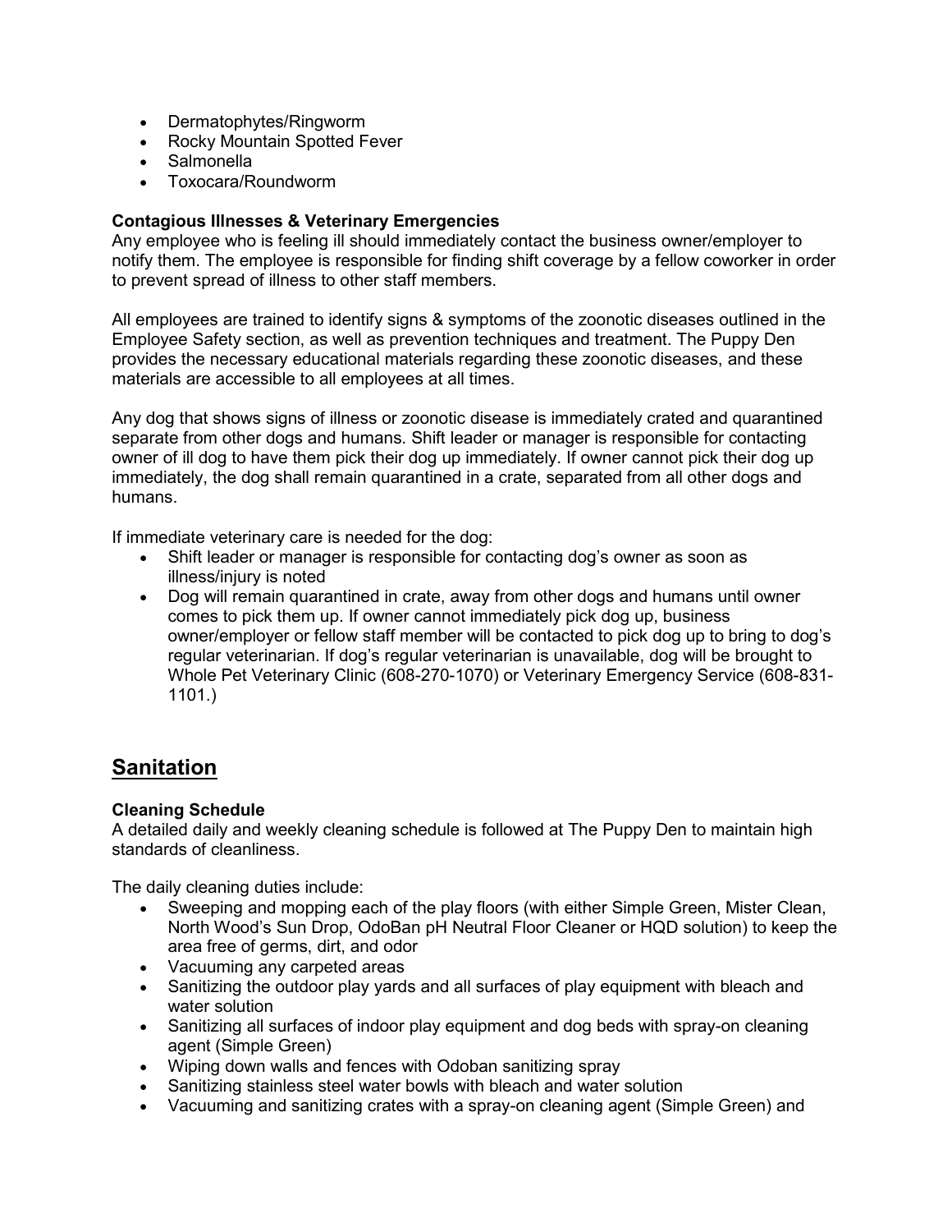- Dermatophytes/Ringworm
- Rocky Mountain Spotted Fever
- Salmonella
- Toxocara/Roundworm

# **Contagious Illnesses & Veterinary Emergencies**

Any employee who is feeling ill should immediately contact the business owner/employer to notify them. The employee is responsible for finding shift coverage by a fellow coworker in order to prevent spread of illness to other staff members.

All employees are trained to identify signs & symptoms of the zoonotic diseases outlined in the Employee Safety section, as well as prevention techniques and treatment. The Puppy Den provides the necessary educational materials regarding these zoonotic diseases, and these materials are accessible to all employees at all times.

Any dog that shows signs of illness or zoonotic disease is immediately crated and quarantined separate from other dogs and humans. Shift leader or manager is responsible for contacting owner of ill dog to have them pick their dog up immediately. If owner cannot pick their dog up immediately, the dog shall remain quarantined in a crate, separated from all other dogs and humans.

If immediate veterinary care is needed for the dog:

- Shift leader or manager is responsible for contacting dog's owner as soon as illness/injury is noted
- Dog will remain quarantined in crate, away from other dogs and humans until owner comes to pick them up. If owner cannot immediately pick dog up, business owner/employer or fellow staff member will be contacted to pick dog up to bring to dog's regular veterinarian. If dog's regular veterinarian is unavailable, dog will be brought to Whole Pet Veterinary Clinic (608-270-1070) or Veterinary Emergency Service (608-831- 1101.)

# **Sanitation**

# **Cleaning Schedule**

A detailed daily and weekly cleaning schedule is followed at The Puppy Den to maintain high standards of cleanliness.

The daily cleaning duties include:

- Sweeping and mopping each of the play floors (with either Simple Green, Mister Clean, North Wood's Sun Drop, OdoBan pH Neutral Floor Cleaner or HQD solution) to keep the area free of germs, dirt, and odor
- Vacuuming any carpeted areas
- Sanitizing the outdoor play yards and all surfaces of play equipment with bleach and water solution
- Sanitizing all surfaces of indoor play equipment and dog beds with spray-on cleaning agent (Simple Green)
- Wiping down walls and fences with Odoban sanitizing spray
- Sanitizing stainless steel water bowls with bleach and water solution
- Vacuuming and sanitizing crates with a spray-on cleaning agent (Simple Green) and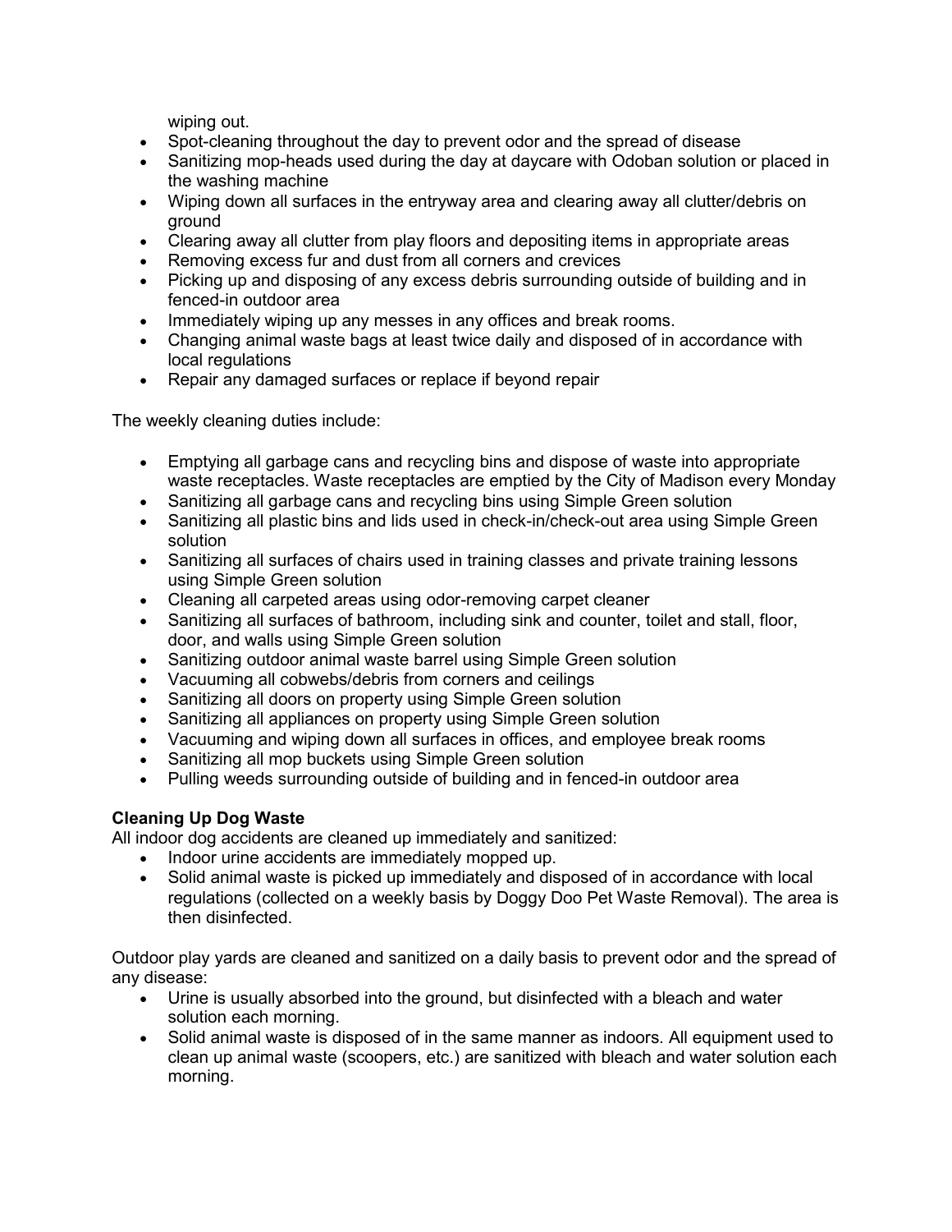wiping out.

- Spot-cleaning throughout the day to prevent odor and the spread of disease
- Sanitizing mop-heads used during the day at daycare with Odoban solution or placed in the washing machine
- Wiping down all surfaces in the entryway area and clearing away all clutter/debris on ground
- Clearing away all clutter from play floors and depositing items in appropriate areas
- Removing excess fur and dust from all corners and crevices
- Picking up and disposing of any excess debris surrounding outside of building and in fenced-in outdoor area
- Immediately wiping up any messes in any offices and break rooms.
- Changing animal waste bags at least twice daily and disposed of in accordance with local regulations
- Repair any damaged surfaces or replace if beyond repair

The weekly cleaning duties include:

- Emptying all garbage cans and recycling bins and dispose of waste into appropriate waste receptacles. Waste receptacles are emptied by the City of Madison every Monday
- Sanitizing all garbage cans and recycling bins using Simple Green solution
- Sanitizing all plastic bins and lids used in check-in/check-out area using Simple Green solution
- Sanitizing all surfaces of chairs used in training classes and private training lessons using Simple Green solution
- Cleaning all carpeted areas using odor-removing carpet cleaner
- Sanitizing all surfaces of bathroom, including sink and counter, toilet and stall, floor, door, and walls using Simple Green solution
- Sanitizing outdoor animal waste barrel using Simple Green solution
- Vacuuming all cobwebs/debris from corners and ceilings
- Sanitizing all doors on property using Simple Green solution
- Sanitizing all appliances on property using Simple Green solution
- Vacuuming and wiping down all surfaces in offices, and employee break rooms
- Sanitizing all mop buckets using Simple Green solution
- Pulling weeds surrounding outside of building and in fenced-in outdoor area

# **Cleaning Up Dog Waste**

All indoor dog accidents are cleaned up immediately and sanitized:

- Indoor urine accidents are immediately mopped up.
- Solid animal waste is picked up immediately and disposed of in accordance with local regulations (collected on a weekly basis by Doggy Doo Pet Waste Removal). The area is then disinfected.

Outdoor play yards are cleaned and sanitized on a daily basis to prevent odor and the spread of any disease:

- Urine is usually absorbed into the ground, but disinfected with a bleach and water solution each morning.
- Solid animal waste is disposed of in the same manner as indoors. All equipment used to clean up animal waste (scoopers, etc.) are sanitized with bleach and water solution each morning.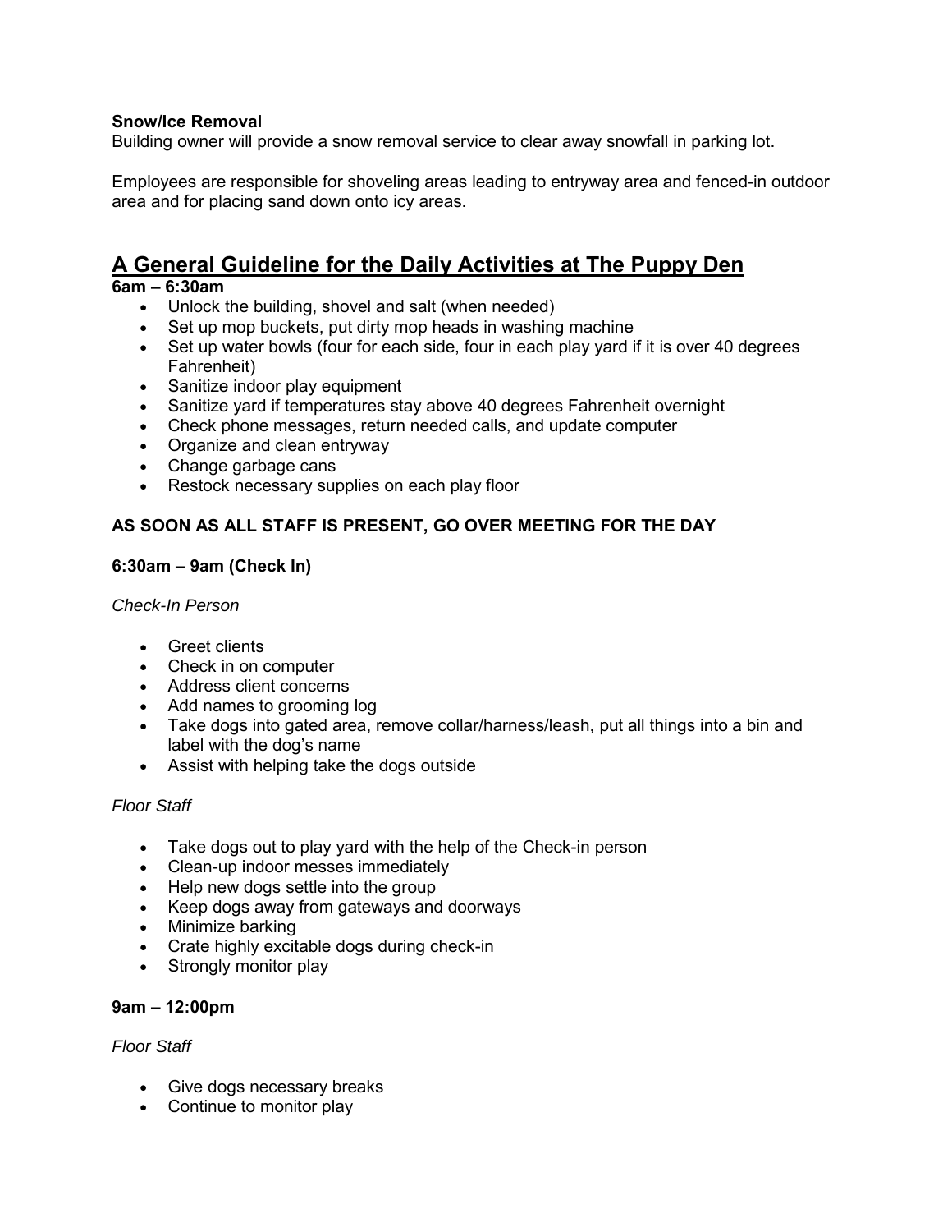# **Snow/Ice Removal**

Building owner will provide a snow removal service to clear away snowfall in parking lot.

Employees are responsible for shoveling areas leading to entryway area and fenced-in outdoor area and for placing sand down onto icy areas.

# **A General Guideline for the Daily Activities at The Puppy Den**

# **6am – 6:30am**

- Unlock the building, shovel and salt (when needed)
- Set up mop buckets, put dirty mop heads in washing machine
- Set up water bowls (four for each side, four in each play yard if it is over 40 degrees Fahrenheit)
- Sanitize indoor play equipment
- Sanitize yard if temperatures stay above 40 degrees Fahrenheit overnight
- Check phone messages, return needed calls, and update computer
- Organize and clean entryway
- Change garbage cans
- Restock necessary supplies on each play floor

# **AS SOON AS ALL STAFF IS PRESENT, GO OVER MEETING FOR THE DAY**

#### **6:30am – 9am (Check In)**

#### *Check-In Person*

- Greet clients
- Check in on computer
- Address client concerns
- Add names to grooming log
- Take dogs into gated area, remove collar/harness/leash, put all things into a bin and label with the dog's name
- Assist with helping take the dogs outside

# *Floor Staff*

- Take dogs out to play yard with the help of the Check-in person
- Clean-up indoor messes immediately
- Help new dogs settle into the group
- Keep dogs away from gateways and doorways
- Minimize barking
- Crate highly excitable dogs during check-in
- Strongly monitor play

#### **9am – 12:00pm**

#### *Floor Staff*

- Give dogs necessary breaks
- Continue to monitor play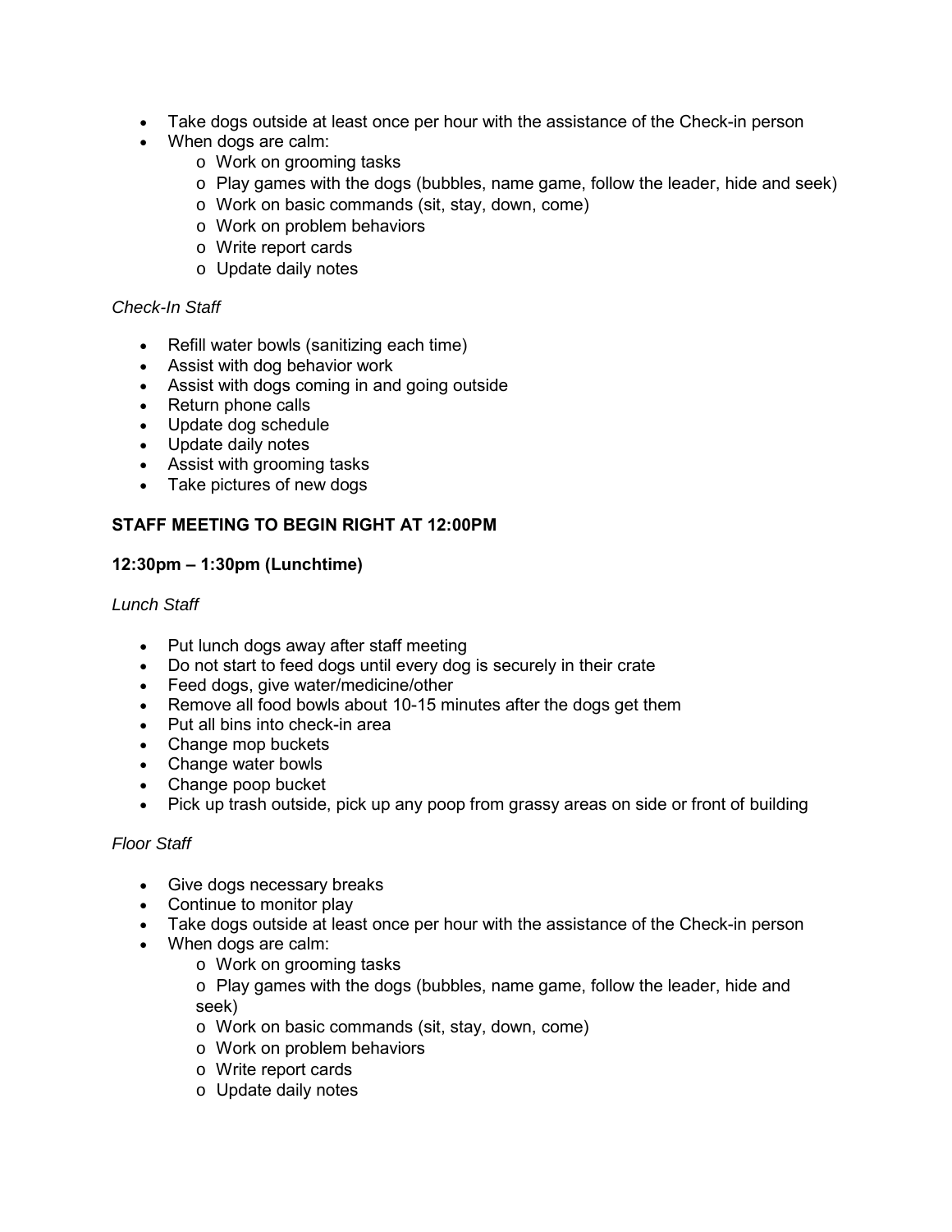- Take dogs outside at least once per hour with the assistance of the Check-in person
- When dogs are calm:
	- o Work on grooming tasks
	- $\circ$  Play games with the dogs (bubbles, name game, follow the leader, hide and seek)
	- o Work on basic commands (sit, stay, down, come)
	- o Work on problem behaviors
	- o Write report cards
	- o Update daily notes

# *Check-In Staff*

- Refill water bowls (sanitizing each time)
- Assist with dog behavior work
- Assist with dogs coming in and going outside
- Return phone calls
- Update dog schedule
- Update daily notes
- Assist with grooming tasks
- Take pictures of new dogs

# **STAFF MEETING TO BEGIN RIGHT AT 12:00PM**

# **12:30pm – 1:30pm (Lunchtime)**

# *Lunch Staff*

- Put lunch dogs away after staff meeting
- Do not start to feed dogs until every dog is securely in their crate
- Feed dogs, give water/medicine/other
- Remove all food bowls about 10-15 minutes after the dogs get them
- Put all bins into check-in area
- Change mop buckets
- Change water bowls
- Change poop bucket
- Pick up trash outside, pick up any poop from grassy areas on side or front of building

# *Floor Staff*

- Give dogs necessary breaks
- Continue to monitor play
- Take dogs outside at least once per hour with the assistance of the Check-in person
- When dogs are calm:
	- o Work on grooming tasks
	- o Play games with the dogs (bubbles, name game, follow the leader, hide and seek)
	- o Work on basic commands (sit, stay, down, come)
	- o Work on problem behaviors
	- o Write report cards
	- o Update daily notes